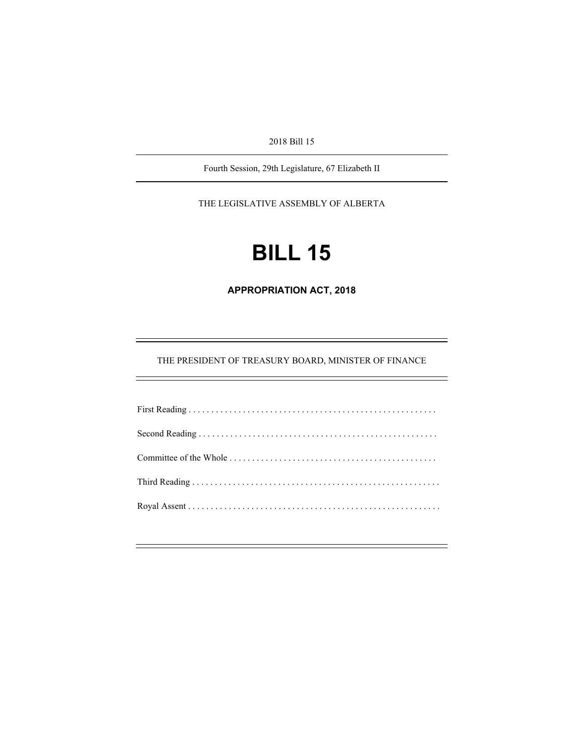2018 Bill 15

Fourth Session, 29th Legislature, 67 Elizabeth II

THE LEGISLATIVE ASSEMBLY OF ALBERTA

# **BILL 15**

**APPROPRIATION ACT, 2018** 

THE PRESIDENT OF TREASURY BOARD, MINISTER OF FINANCE

÷,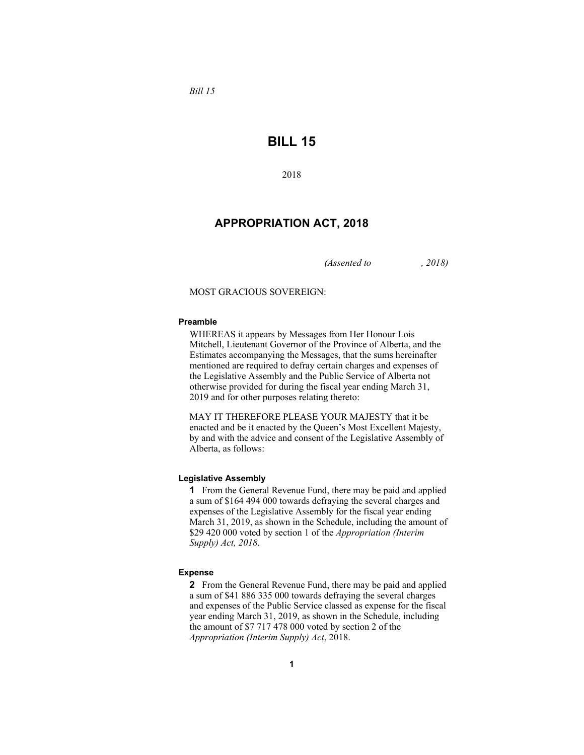*Bill 15* 

## **BILL 15**

2018

## **APPROPRIATION ACT, 2018**

*(Assented to , 2018)* 

MOST GRACIOUS SOVEREIGN:

#### **Preamble**

WHEREAS it appears by Messages from Her Honour Lois Mitchell, Lieutenant Governor of the Province of Alberta, and the Estimates accompanying the Messages, that the sums hereinafter mentioned are required to defray certain charges and expenses of the Legislative Assembly and the Public Service of Alberta not otherwise provided for during the fiscal year ending March 31, 2019 and for other purposes relating thereto:

MAY IT THEREFORE PLEASE YOUR MAJESTY that it be enacted and be it enacted by the Queen's Most Excellent Majesty, by and with the advice and consent of the Legislative Assembly of Alberta, as follows:

#### **Legislative Assembly**

**1** From the General Revenue Fund, there may be paid and applied a sum of \$164 494 000 towards defraying the several charges and expenses of the Legislative Assembly for the fiscal year ending March 31, 2019, as shown in the Schedule, including the amount of \$29 420 000 voted by section 1 of the *Appropriation (Interim Supply) Act, 2018*.

#### **Expense**

**2** From the General Revenue Fund, there may be paid and applied a sum of \$41 886 335 000 towards defraying the several charges and expenses of the Public Service classed as expense for the fiscal year ending March 31, 2019, as shown in the Schedule, including the amount of \$7 717 478 000 voted by section 2 of the *Appropriation (Interim Supply) Act*, 2018.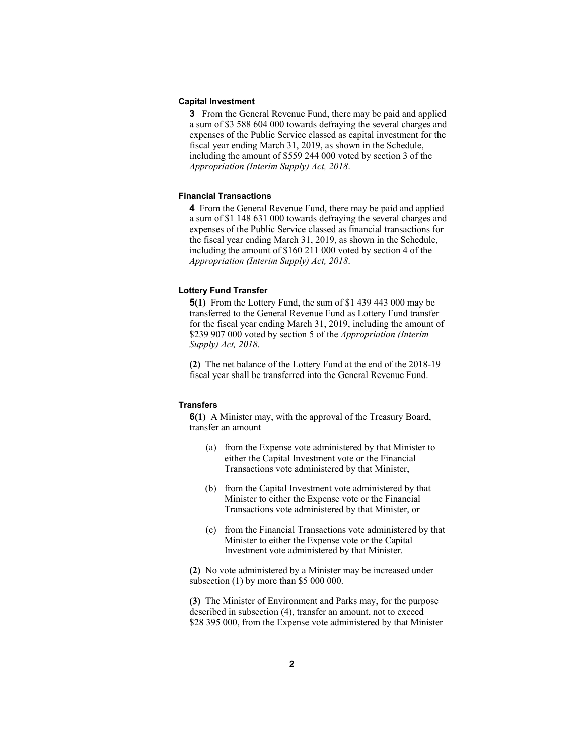#### **Capital Investment**

**3** From the General Revenue Fund, there may be paid and applied a sum of \$3 588 604 000 towards defraying the several charges and expenses of the Public Service classed as capital investment for the fiscal year ending March 31, 2019, as shown in the Schedule, including the amount of \$559 244 000 voted by section 3 of the *Appropriation (Interim Supply) Act, 2018*.

#### **Financial Transactions**

**4** From the General Revenue Fund, there may be paid and applied a sum of \$1 148 631 000 towards defraying the several charges and expenses of the Public Service classed as financial transactions for the fiscal year ending March 31, 2019, as shown in the Schedule, including the amount of \$160 211 000 voted by section 4 of the *Appropriation (Interim Supply) Act, 2018*.

#### **Lottery Fund Transfer**

**5(1)** From the Lottery Fund, the sum of \$1 439 443 000 may be transferred to the General Revenue Fund as Lottery Fund transfer for the fiscal year ending March 31, 2019, including the amount of \$239 907 000 voted by section 5 of the *Appropriation (Interim Supply) Act, 2018*.

**(2)** The net balance of the Lottery Fund at the end of the 2018-19 fiscal year shall be transferred into the General Revenue Fund.

#### **Transfers**

**6(1)** A Minister may, with the approval of the Treasury Board, transfer an amount

- (a) from the Expense vote administered by that Minister to either the Capital Investment vote or the Financial Transactions vote administered by that Minister,
- (b) from the Capital Investment vote administered by that Minister to either the Expense vote or the Financial Transactions vote administered by that Minister, or
- (c) from the Financial Transactions vote administered by that Minister to either the Expense vote or the Capital Investment vote administered by that Minister.

**(2)** No vote administered by a Minister may be increased under subsection (1) by more than \$5 000 000.

**(3)** The Minister of Environment and Parks may, for the purpose described in subsection (4), transfer an amount, not to exceed \$28 395 000, from the Expense vote administered by that Minister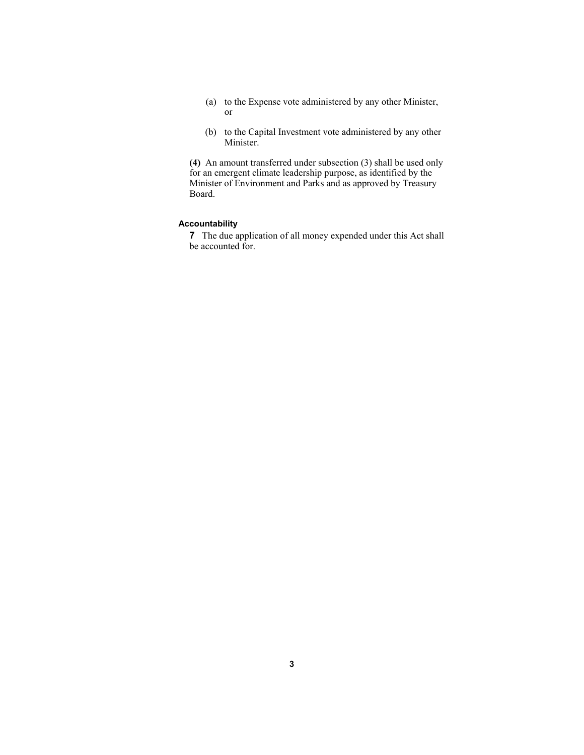- (a) to the Expense vote administered by any other Minister, or
- (b) to the Capital Investment vote administered by any other Minister.

**(4)** An amount transferred under subsection (3) shall be used only for an emergent climate leadership purpose, as identified by the Minister of Environment and Parks and as approved by Treasury Board.

#### **Accountability**

**7** The due application of all money expended under this Act shall be accounted for.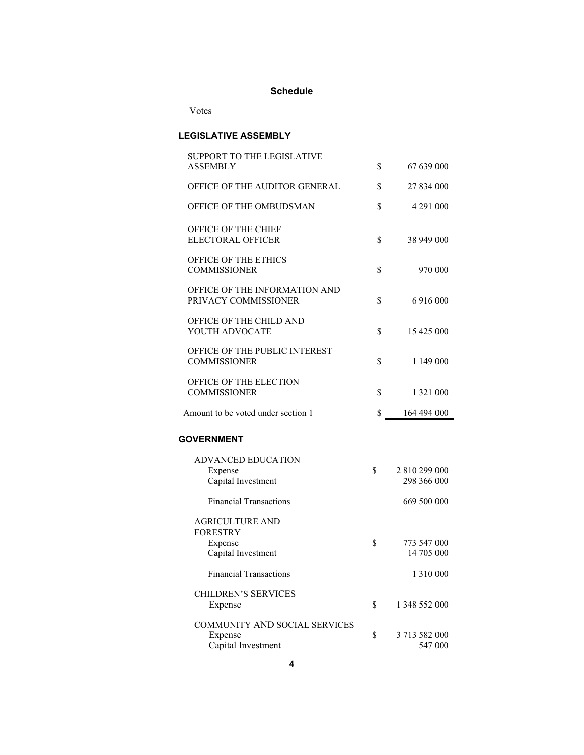## **Schedule**

Votes

### **LEGISLATIVE ASSEMBLY**

| <b>SUPPORT TO THE LEGISLATIVE</b>                                     |                                    |
|-----------------------------------------------------------------------|------------------------------------|
| ASSEMBLY                                                              | \$<br>67 639 000                   |
| OFFICE OF THE AUDITOR GENERAL                                         | \$<br>27 834 000                   |
| OFFICE OF THE OMBUDSMAN                                               | \$<br>4 291 000                    |
| OFFICE OF THE CHIEF<br><b>ELECTORAL OFFICER</b>                       | \$<br>38 949 000                   |
| <b>OFFICE OF THE ETHICS</b><br><b>COMMISSIONER</b>                    | \$<br>970 000                      |
| OFFICE OF THE INFORMATION AND<br>PRIVACY COMMISSIONER                 | \$<br>6 916 000                    |
| OFFICE OF THE CHILD AND<br>YOUTH ADVOCATE                             | \$<br>15 425 000                   |
| OFFICE OF THE PUBLIC INTEREST<br><b>COMMISSIONER</b>                  | \$<br>1 149 000                    |
| OFFICE OF THE ELECTION<br><b>COMMISSIONER</b>                         | \$<br>1 321 000                    |
| Amount to be voted under section 1                                    | \$<br>164 494 000                  |
| <b>GOVERNMENT</b>                                                     |                                    |
| <b>ADVANCED EDUCATION</b><br>Expense<br>Capital Investment            | \$<br>2 810 299 000<br>298 366 000 |
| <b>Financial Transactions</b>                                         | 669 500 000                        |
| <b>AGRICULTURE AND</b><br><b>FORESTRY</b>                             |                                    |
| Expense                                                               | \$<br>773 547 000<br>14 705 000    |
| Capital Investment                                                    |                                    |
| <b>Financial Transactions</b>                                         | 1 310 000                          |
| <b>CHILDREN'S SERVICES</b><br>Expense                                 | \$<br>1 348 552 000                |
| <b>COMMUNITY AND SOCIAL SERVICES</b><br>Expense<br>Capital Investment | \$<br>3 713 582 000<br>547 000     |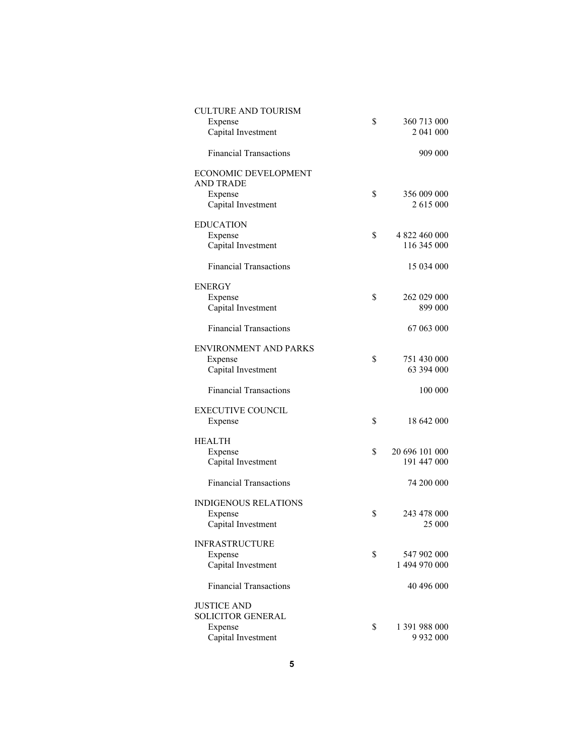| <b>CULTURE AND TOURISM</b>    |    |                |
|-------------------------------|----|----------------|
| Expense                       | \$ | 360 713 000    |
| Capital Investment            |    | 2 041 000      |
|                               |    |                |
| <b>Financial Transactions</b> |    | 909 000        |
| <b>ECONOMIC DEVELOPMENT</b>   |    |                |
| <b>AND TRADE</b>              |    |                |
|                               |    |                |
| Expense                       | S  | 356 009 000    |
| Capital Investment            |    | 2 615 000      |
|                               |    |                |
| <b>EDUCATION</b>              |    |                |
| Expense                       | \$ | 4 822 460 000  |
| Capital Investment            |    | 116 345 000    |
|                               |    |                |
| <b>Financial Transactions</b> |    | 15 034 000     |
| ENERGY                        |    |                |
|                               |    |                |
| Expense                       | \$ | 262 029 000    |
| Capital Investment            |    | 899 000        |
|                               |    |                |
| <b>Financial Transactions</b> |    | 67 063 000     |
| <b>ENVIRONMENT AND PARKS</b>  |    |                |
|                               |    |                |
| Expense                       | \$ | 751 430 000    |
| Capital Investment            |    | 63 394 000     |
| <b>Financial Transactions</b> |    | 100 000        |
|                               |    |                |
| <b>EXECUTIVE COUNCIL</b>      |    |                |
| Expense                       | \$ | 18 642 000     |
|                               |    |                |
| <b>HEALTH</b>                 |    |                |
| Expense                       | \$ | 20 696 101 000 |
| Capital Investment            |    | 191 447 000    |
|                               |    |                |
| <b>Financial Transactions</b> |    | 74 200 000     |
|                               |    |                |
| <b>INDIGENOUS RELATIONS</b>   |    |                |
| Expense                       | \$ | 243 478 000    |
| Capital Investment            |    | 25 000         |
|                               |    |                |
| <b>INFRASTRUCTURE</b>         |    |                |
| Expense                       | \$ | 547 902 000    |
| Capital Investment            |    | 1 494 970 000  |
|                               |    |                |
| <b>Financial Transactions</b> |    | 40 496 000     |
|                               |    |                |
| <b>JUSTICE AND</b>            |    |                |
| <b>SOLICITOR GENERAL</b>      |    |                |
| Expense                       | \$ | 1 391 988 000  |
| Capital Investment            |    | 9 9 3 2 0 0 0  |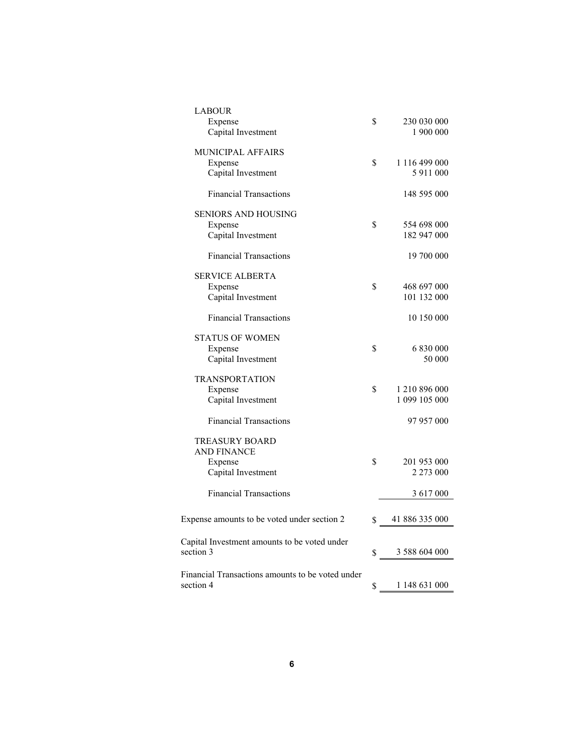| <b>LABOUR</b>                                    |                      |
|--------------------------------------------------|----------------------|
| Expense                                          | \$<br>230 030 000    |
| Capital Investment                               | 1 900 000            |
| MUNICIPAL AFFAIRS                                |                      |
| Expense                                          | \$<br>1 116 499 000  |
| Capital Investment                               | 5 911 000            |
|                                                  |                      |
| <b>Financial Transactions</b>                    | 148 595 000          |
| <b>SENIORS AND HOUSING</b>                       |                      |
| Expense                                          | \$<br>554 698 000    |
| Capital Investment                               | 182 947 000          |
| <b>Financial Transactions</b>                    | 19 700 000           |
| <b>SERVICE ALBERTA</b>                           |                      |
| Expense                                          | \$<br>468 697 000    |
| Capital Investment                               | 101 132 000          |
|                                                  |                      |
| <b>Financial Transactions</b>                    | 10 150 000           |
| STATUS OF WOMEN                                  |                      |
| Expense                                          | \$<br>6 830 000      |
| Capital Investment                               | 50 000               |
| <b>TRANSPORTATION</b>                            |                      |
|                                                  | \$<br>1 210 896 000  |
| Expense                                          | 1 099 105 000        |
| Capital Investment                               |                      |
| <b>Financial Transactions</b>                    | 97 957 000           |
| <b>TREASURY BOARD</b>                            |                      |
| <b>AND FINANCE</b>                               |                      |
| Expense                                          | \$<br>201 953 000    |
| Capital Investment                               | 2 273 000            |
|                                                  |                      |
| <b>Financial Transactions</b>                    | 3 617 000            |
| Expense amounts to be voted under section 2      | \$<br>41 886 335 000 |
|                                                  |                      |
| Capital Investment amounts to be voted under     |                      |
| section 3                                        | \$<br>3 588 604 000  |
|                                                  |                      |
| Financial Transactions amounts to be voted under |                      |
| section 4                                        | \$<br>1 148 631 000  |